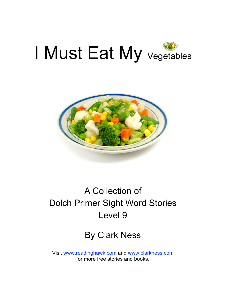



## A Collection of Dolch Primer Sight Word Stories Level 9

#### By Clark Ness

Visit [www.readinghawk.com](http://www.readinghawk.com) and [www.clarkness.com](http://www.clarkness.com) for more free stories and books.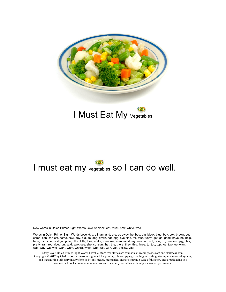

#### I Must Eat My vegetables

### I must eat my vegetables so I can do well.

New words in Dolch Primer Sight Words Level 9: black, eat, must, new, white, who

Words in Dolch Primer Sight Words Level 9: a, all, am, and, are, at, away, be, bed, big, black, blue, boy, box, brown, but, came, can, car, cat, come, cow, day, did, do, dog, down, eat, egg, eye, find, for, four, funny, get, go, good, have, he, help, here, I, in, into, is, it, jump, leg, like, little, look, make, man, me, men, must, my, new, no, not, now, on, one, out, pig, play, pretty, ran, red, ride, run, said, saw, see, she, so, sun, that, the, there, they, this, three, to, too, top, toy, two, up, want, was, way, we, well, went, what, where, white, who, will, with, yes, yellow, you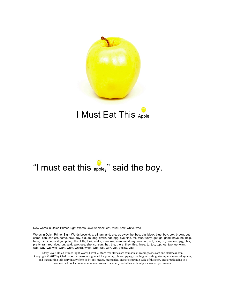

#### I Must Eat This Apple

### "I must eat this apple," said the boy.

New words in Dolch Primer Sight Words Level 9: black, eat, must, new, white, who

Words in Dolch Primer Sight Words Level 9: a, all, am, and, are, at, away, be, bed, big, black, blue, boy, box, brown, but, came, can, car, cat, come, cow, day, did, do, dog, down, eat, egg, eye, find, for, four, funny, get, go, good, have, he, help, here, I, in, into, is, it, jump, leg, like, little, look, make, man, me, men, must, my, new, no, not, now, on, one, out, pig, play, pretty, ran, red, ride, run, said, saw, see, she, so, sun, that, the, there, they, this, three, to, too, top, toy, two, up, want, was, way, we, well, went, what, where, white, who, will, with, yes, yellow, you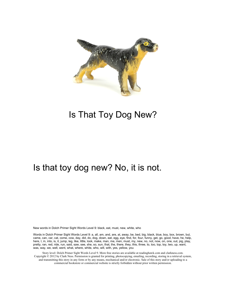

#### Is That Toy Dog New?

#### Is that toy dog new? No, it is not.

New words in Dolch Primer Sight Words Level 9: black, eat, must, new, white, who

Words in Dolch Primer Sight Words Level 9: a, all, am, and, are, at, away, be, bed, big, black, blue, boy, box, brown, but, came, can, car, cat, come, cow, day, did, do, dog, down, eat, egg, eye, find, for, four, funny, get, go, good, have, he, help, here, I, in, into, is, it, jump, leg, like, little, look, make, man, me, men, must, my, new, no, not, now, on, one, out, pig, play, pretty, ran, red, ride, run, said, saw, see, she, so, sun, that, the, there, they, this, three, to, too, top, toy, two, up, want, was, way, we, well, went, what, where, white, who, will, with, yes, yellow, you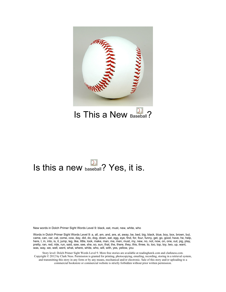

Is This a New Baseball?

## Is this a new baseball? Yes, it is.

New words in Dolch Primer Sight Words Level 9: black, eat, must, new, white, who

Words in Dolch Primer Sight Words Level 9: a, all, am, and, are, at, away, be, bed, big, black, blue, boy, box, brown, but, came, can, car, cat, come, cow, day, did, do, dog, down, eat, egg, eye, find, for, four, funny, get, go, good, have, he, help, here, I, in, into, is, it, jump, leg, like, little, look, make, man, me, men, must, my, new, no, not, now, on, one, out, pig, play, pretty, ran, red, ride, run, said, saw, see, she, so, sun, that, the, there, they, this, three, to, too, top, toy, two, up, want, was, way, we, well, went, what, where, white, who, will, with, yes, yellow, you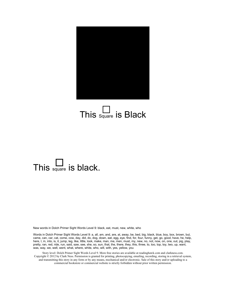

## This  $\Box$  is Black

## This  $\square$  is black.

New words in Dolch Primer Sight Words Level 9: black, eat, must, new, white, who

Words in Dolch Primer Sight Words Level 9: a, all, am, and, are, at, away, be, bed, big, black, blue, boy, box, brown, but, came, can, car, cat, come, cow, day, did, do, dog, down, eat, egg, eye, find, for, four, funny, get, go, good, have, he, help, here, I, in, into, is, it, jump, leg, like, little, look, make, man, me, men, must, my, new, no, not, now, on, one, out, pig, play, pretty, ran, red, ride, run, said, saw, see, she, so, sun, that, the, there, they, this, three, to, too, top, toy, two, up, want, was, way, we, well, went, what, where, white, who, will, with, yes, yellow, you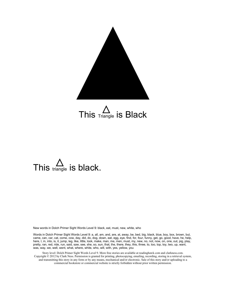

# This  $\triangle$  is Black

# This  $\triangle$  is black.

New words in Dolch Primer Sight Words Level 9: black, eat, must, new, white, who

Words in Dolch Primer Sight Words Level 9: a, all, am, and, are, at, away, be, bed, big, black, blue, boy, box, brown, but, came, can, car, cat, come, cow, day, did, do, dog, down, eat, egg, eye, find, for, four, funny, get, go, good, have, he, help, here, I, in, into, is, it, jump, leg, like, little, look, make, man, me, men, must, my, new, no, not, now, on, one, out, pig, play, pretty, ran, red, ride, run, said, saw, see, she, so, sun, that, the, there, they, this, three, to, too, top, toy, two, up, want, was, way, we, well, went, what, where, white, who, will, with, yes, yellow, you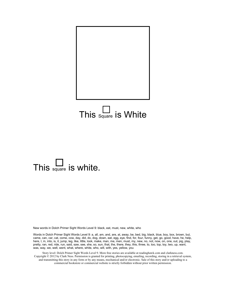

## This  $\Box$  is White

## This  $\square$  is white.

New words in Dolch Primer Sight Words Level 9: black, eat, must, new, white, who

Words in Dolch Primer Sight Words Level 9: a, all, am, and, are, at, away, be, bed, big, black, blue, boy, box, brown, but, came, can, car, cat, come, cow, day, did, do, dog, down, eat, egg, eye, find, for, four, funny, get, go, good, have, he, help, here, I, in, into, is, it, jump, leg, like, little, look, make, man, me, men, must, my, new, no, not, now, on, one, out, pig, play, pretty, ran, red, ride, run, said, saw, see, she, so, sun, that, the, there, they, this, three, to, too, top, toy, two, up, want, was, way, we, well, went, what, where, white, who, will, with, yes, yellow, you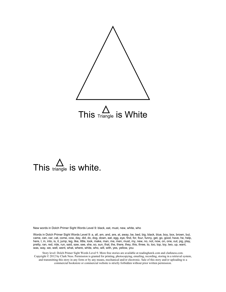

# This  $\triangle$  is white.

New words in Dolch Primer Sight Words Level 9: black, eat, must, new, white, who

Words in Dolch Primer Sight Words Level 9: a, all, am, and, are, at, away, be, bed, big, black, blue, boy, box, brown, but, came, can, car, cat, come, cow, day, did, do, dog, down, eat, egg, eye, find, for, four, funny, get, go, good, have, he, help, here, I, in, into, is, it, jump, leg, like, little, look, make, man, me, men, must, my, new, no, not, now, on, one, out, pig, play, pretty, ran, red, ride, run, said, saw, see, she, so, sun, that, the, there, they, this, three, to, too, top, toy, two, up, want, was, way, we, well, went, what, where, white, who, will, with, yes, yellow, you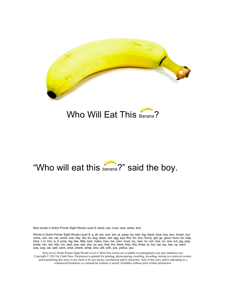

#### Who Will Eat This Banana?

### "Who will eat this banana?" said the boy.

New words in Dolch Primer Sight Words Level 9: black, eat, must, new, white, who

Words in Dolch Primer Sight Words Level 9: a, all, am, and, are, at, away, be, bed, big, black, blue, boy, box, brown, but, came, can, car, cat, come, cow, day, did, do, dog, down, eat, egg, eye, find, for, four, funny, get, go, good, have, he, help, here, I, in, into, is, it, jump, leg, like, little, look, make, man, me, men, must, my, new, no, not, now, on, one, out, pig, play, pretty, ran, red, ride, run, said, saw, see, she, so, sun, that, the, there, they, this, three, to, too, top, toy, two, up, want, was, way, we, well, went, what, where, white, who, will, with, yes, yellow, you